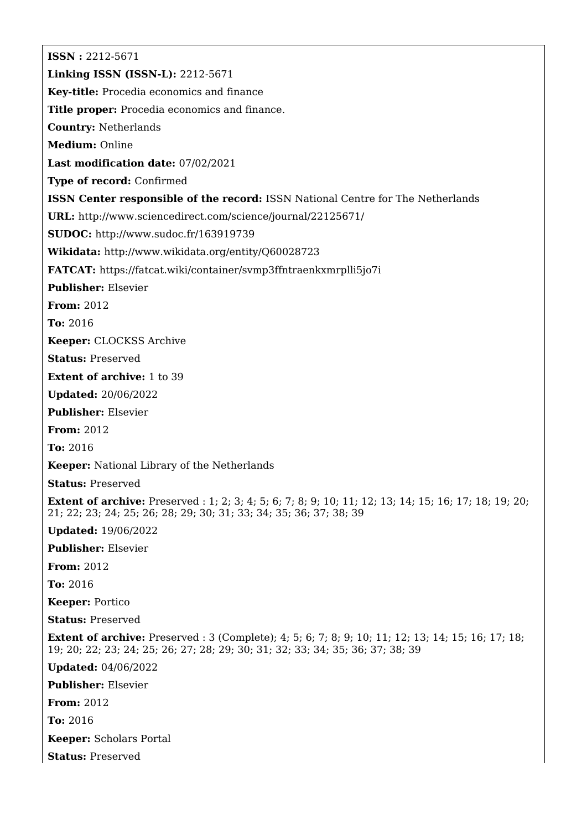**ISSN :** 2212-5671 **Linking ISSN (ISSN-L):** 2212-5671 **Key-title:** Procedia economics and finance **Title proper:** Procedia economics and finance. **Country:** Netherlands **Medium:** Online **Last modification date:** 07/02/2021 **Type of record:** Confirmed **ISSN Center responsible of the record:** ISSN National Centre for The Netherlands **URL:** <http://www.sciencedirect.com/science/journal/22125671/> **SUDOC:** <http://www.sudoc.fr/163919739> **Wikidata:** <http://www.wikidata.org/entity/Q60028723> **FATCAT:** <https://fatcat.wiki/container/svmp3ffntraenkxmrplli5jo7i> **Publisher:** Elsevier **From:** 2012 **To:** 2016 **Keeper:** CLOCKSS Archive **Status:** Preserved **Extent of archive:** 1 to 39 **Updated:** 20/06/2022 **Publisher:** Elsevier **From:** 2012 **To:** 2016 **Keeper:** National Library of the Netherlands **Status:** Preserved **Extent of archive:** Preserved : 1; 2; 3; 4; 5; 6; 7; 8; 9; 10; 11; 12; 13; 14; 15; 16; 17; 18; 19; 20; 21; 22; 23; 24; 25; 26; 28; 29; 30; 31; 33; 34; 35; 36; 37; 38; 39 **Updated:** 19/06/2022 **Publisher:** Elsevier **From:** 2012 **To:** 2016 **Keeper:** Portico **Status:** Preserved **Extent of archive:** Preserved : 3 (Complete); 4; 5; 6; 7; 8; 9; 10; 11; 12; 13; 14; 15; 16; 17; 18; 19; 20; 22; 23; 24; 25; 26; 27; 28; 29; 30; 31; 32; 33; 34; 35; 36; 37; 38; 39 **Updated:** 04/06/2022 **Publisher:** Elsevier **From:** 2012 **To:** 2016 **Keeper:** Scholars Portal **Status:** Preserved